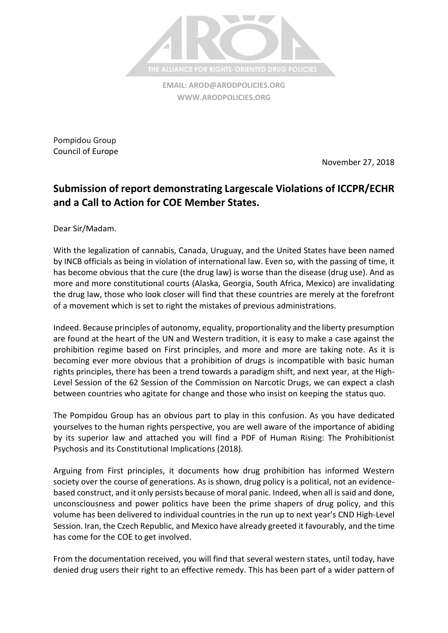

**EMAIL: [AROD@ARODPOLICIES.ORG](mailto:AROD@ARODPOLICIES.ORG) [WWW.ARODPOLICIES.ORG](http://www.arodpolicies.org/)**

Pompidou Group Council of Europe

November 27, 2018

## **Submission of report demonstrating Largescale Violations of ICCPR/ECHR and a Call to Action for COE Member States.**

Dear Sir/Madam.

With the legalization of cannabis, Canada, Uruguay, and the United States have been named by INCB officials as being in violation of international law. Even so, with the passing of time, it has become obvious that the cure (the drug law) is worse than the disease (drug use). And as more and more constitutional courts (Alaska, Georgia, South Africa, Mexico) are invalidating the drug law, those who look closer will find that these countries are merely at the forefront of a movement which is set to right the mistakes of previous administrations.

Indeed. Because principles of autonomy, equality, proportionality and the liberty presumption are found at the heart of the UN and Western tradition, it is easy to make a case against the prohibition regime based on First principles, and more and more are taking note. As it is becoming ever more obvious that a prohibition of drugs is incompatible with basic human rights principles, there has been a trend towards a paradigm shift, and next year, at the High-Level Session of the 62 Session of the Commission on Narcotic Drugs, we can expect a clash between countries who agitate for change and those who insist on keeping the status quo.

The Pompidou Group has an obvious part to play in this confusion. As you have dedicated yourselves to the human rights perspective, you are well aware of the importance of abiding by its superior law and attached you will find a PDF of Human Rising: The Prohibitionist Psychosis and its Constitutional Implications (2018).

Arguing from First principles, it documents how drug prohibition has informed Western society over the course of generations. As is shown, drug policy is a political, not an evidencebased construct, and it only persists because of moral panic. Indeed, when all is said and done, unconsciousness and power politics have been the prime shapers of drug policy, and this volume has been delivered to individual countries in the run up to next year's CND High-Level Session. Iran, the Czech Republic, and Mexico have already greeted it favourably, and the time has come for the COE to get involved.

From the documentation received, you will find that several western states, until today, have denied drug users their right to an effective remedy. This has been part of a wider pattern of